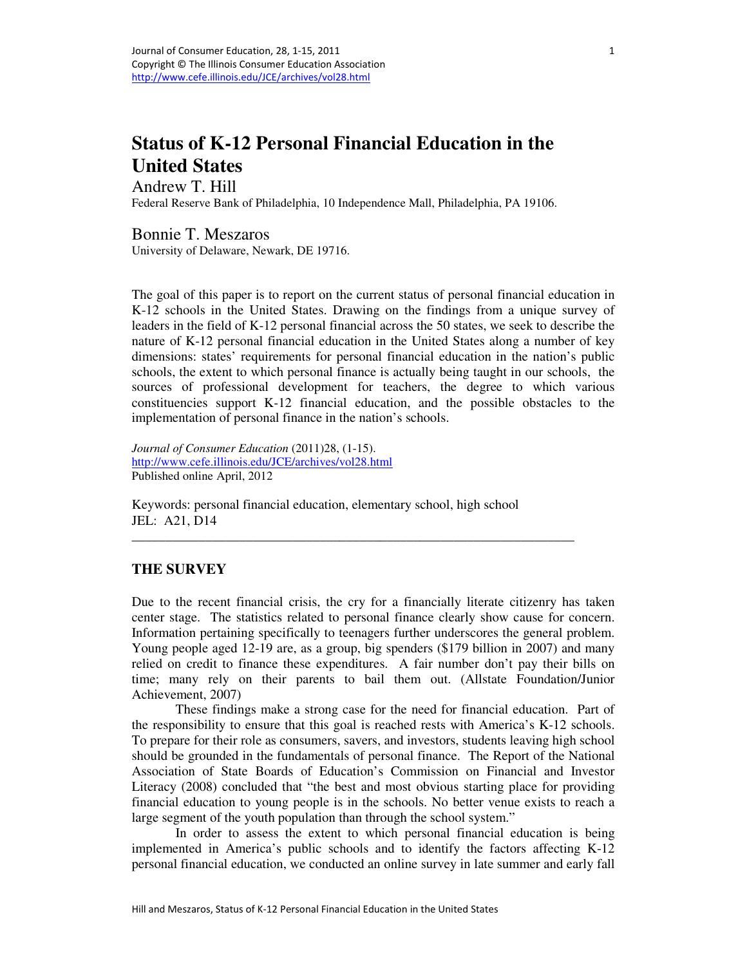# **Status of K-12 Personal Financial Education in the United States**

Andrew T. Hill

Federal Reserve Bank of Philadelphia, 10 Independence Mall, Philadelphia, PA 19106.

Bonnie T. Meszaros

University of Delaware, Newark, DE 19716.

The goal of this paper is to report on the current status of personal financial education in K-12 schools in the United States. Drawing on the findings from a unique survey of leaders in the field of K-12 personal financial across the 50 states, we seek to describe the nature of K-12 personal financial education in the United States along a number of key dimensions: states' requirements for personal financial education in the nation's public schools, the extent to which personal finance is actually being taught in our schools, the sources of professional development for teachers, the degree to which various constituencies support K-12 financial education, and the possible obstacles to the implementation of personal finance in the nation's schools.

*Journal of Consumer Education* (2011)28, (1-15). http://www.cefe.illinois.edu/JCE/archives/vol28.html Published online April, 2012

Keywords: personal financial education, elementary school, high school JEL: A21, D14

\_\_\_\_\_\_\_\_\_\_\_\_\_\_\_\_\_\_\_\_\_\_\_\_\_\_\_\_\_\_\_\_\_\_\_\_\_\_\_\_\_\_\_\_\_\_\_\_\_\_\_\_\_\_\_\_\_\_\_\_\_\_\_\_\_\_

#### **THE SURVEY**

Due to the recent financial crisis, the cry for a financially literate citizenry has taken center stage. The statistics related to personal finance clearly show cause for concern. Information pertaining specifically to teenagers further underscores the general problem. Young people aged 12-19 are, as a group, big spenders (\$179 billion in 2007) and many relied on credit to finance these expenditures. A fair number don't pay their bills on time; many rely on their parents to bail them out. (Allstate Foundation/Junior Achievement, 2007)

These findings make a strong case for the need for financial education. Part of the responsibility to ensure that this goal is reached rests with America's K-12 schools. To prepare for their role as consumers, savers, and investors, students leaving high school should be grounded in the fundamentals of personal finance. The Report of the National Association of State Boards of Education's Commission on Financial and Investor Literacy (2008) concluded that "the best and most obvious starting place for providing financial education to young people is in the schools. No better venue exists to reach a large segment of the youth population than through the school system."

In order to assess the extent to which personal financial education is being implemented in America's public schools and to identify the factors affecting K-12 personal financial education, we conducted an online survey in late summer and early fall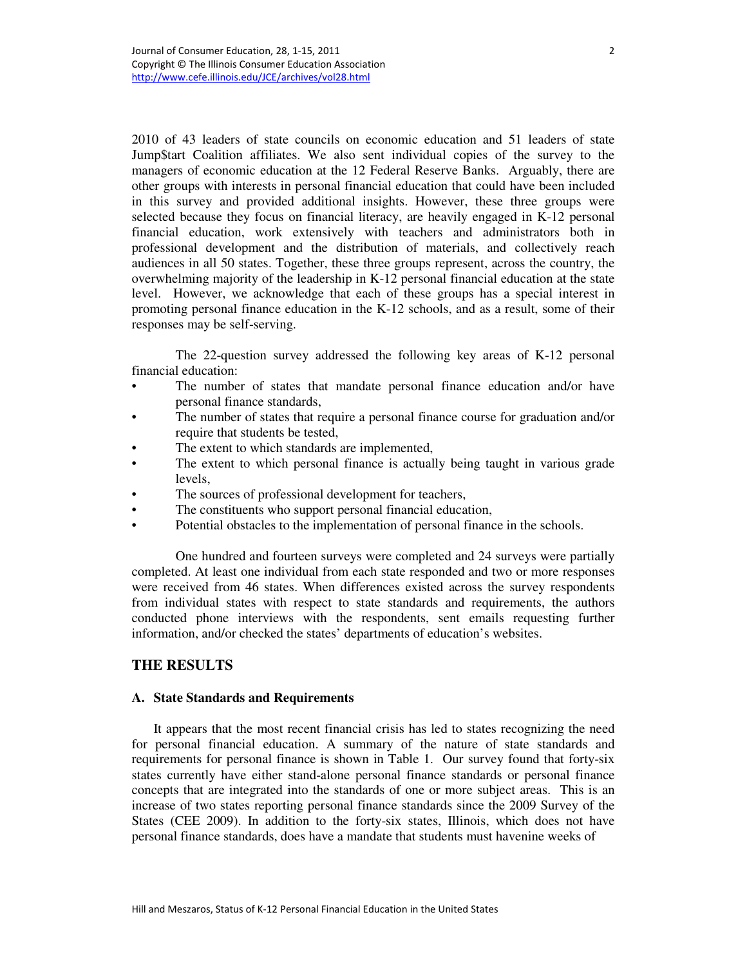2010 of 43 leaders of state councils on economic education and 51 leaders of state Jump\$tart Coalition affiliates. We also sent individual copies of the survey to the managers of economic education at the 12 Federal Reserve Banks. Arguably, there are other groups with interests in personal financial education that could have been included in this survey and provided additional insights. However, these three groups were selected because they focus on financial literacy, are heavily engaged in K-12 personal financial education, work extensively with teachers and administrators both in professional development and the distribution of materials, and collectively reach audiences in all 50 states. Together, these three groups represent, across the country, the overwhelming majority of the leadership in K-12 personal financial education at the state level. However, we acknowledge that each of these groups has a special interest in promoting personal finance education in the K-12 schools, and as a result, some of their responses may be self-serving.

The 22-question survey addressed the following key areas of K-12 personal financial education:

- The number of states that mandate personal finance education and/or have personal finance standards,
- The number of states that require a personal finance course for graduation and/or require that students be tested,
- The extent to which standards are implemented,
- The extent to which personal finance is actually being taught in various grade levels,
- The sources of professional development for teachers,
- The constituents who support personal financial education,
- Potential obstacles to the implementation of personal finance in the schools.

One hundred and fourteen surveys were completed and 24 surveys were partially completed. At least one individual from each state responded and two or more responses were received from 46 states. When differences existed across the survey respondents from individual states with respect to state standards and requirements, the authors conducted phone interviews with the respondents, sent emails requesting further information, and/or checked the states' departments of education's websites.

## **THE RESULTS**

#### **A. State Standards and Requirements**

It appears that the most recent financial crisis has led to states recognizing the need for personal financial education. A summary of the nature of state standards and requirements for personal finance is shown in Table 1. Our survey found that forty-six states currently have either stand-alone personal finance standards or personal finance concepts that are integrated into the standards of one or more subject areas. This is an increase of two states reporting personal finance standards since the 2009 Survey of the States (CEE 2009). In addition to the forty-six states, Illinois, which does not have personal finance standards, does have a mandate that students must havenine weeks of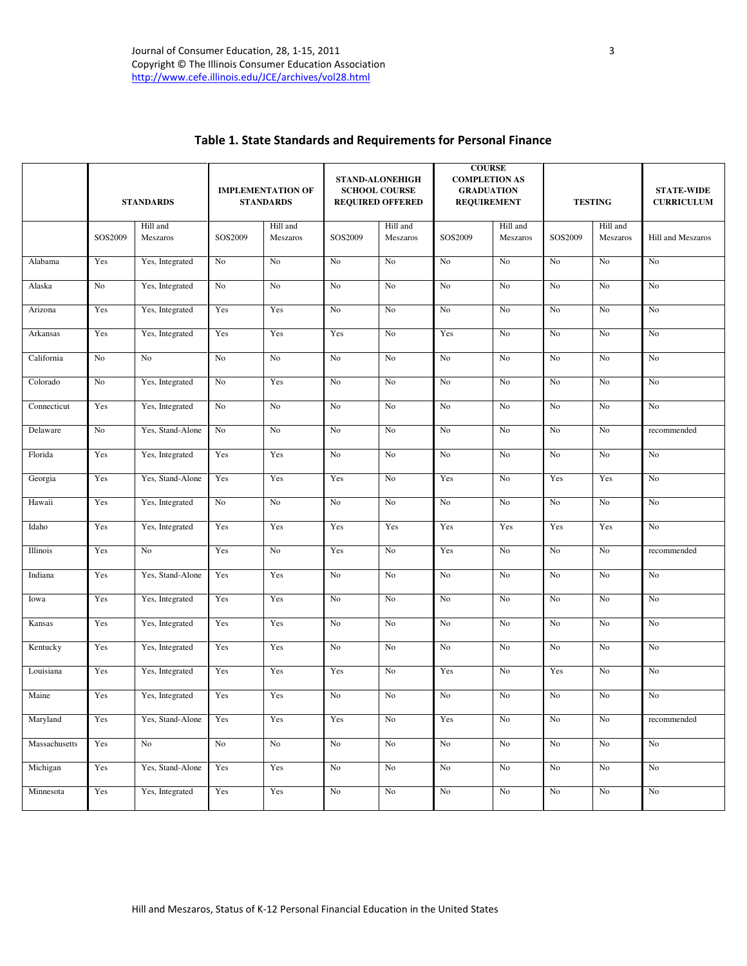|               | <b>STANDARDS</b> |                      | <b>IMPLEMENTATION OF</b><br><b>STANDARDS</b> |                      | <b>STAND-ALONEHIGH</b><br><b>SCHOOL COURSE</b><br><b>REQUIRED OFFERED</b> |                      | <b>COURSE</b><br><b>COMPLETION AS</b><br><b>GRADUATION</b><br><b>REQUIREMENT</b> |                      | <b>TESTING</b> |                      | <b>STATE-WIDE</b><br><b>CURRICULUM</b> |  |
|---------------|------------------|----------------------|----------------------------------------------|----------------------|---------------------------------------------------------------------------|----------------------|----------------------------------------------------------------------------------|----------------------|----------------|----------------------|----------------------------------------|--|
|               | SOS2009          | Hill and<br>Meszaros | SOS2009                                      | Hill and<br>Meszaros | SOS2009                                                                   | Hill and<br>Meszaros | SOS2009                                                                          | Hill and<br>Meszaros | SOS2009        | Hill and<br>Meszaros | Hill and Meszaros                      |  |
| Alabama       | Yes              | Yes, Integrated      | No                                           | No                   | No                                                                        | No                   | No                                                                               | No                   | No             | No                   | No                                     |  |
| Alaska        | No               | Yes, Integrated      | No                                           | No                   | No                                                                        | No                   | No                                                                               | No                   | No             | No                   | No                                     |  |
| Arizona       | Yes              | Yes, Integrated      | Yes                                          | Yes                  | No                                                                        | No                   | No                                                                               | No                   | No             | No                   | No                                     |  |
| Arkansas      | Yes              | Yes, Integrated      | Yes                                          | Yes                  | Yes                                                                       | No                   | Yes                                                                              | No                   | No             | No                   | No                                     |  |
| California    | No               | No                   | $\rm No$                                     | No                   | No                                                                        | No                   | No                                                                               | No                   | No             | No                   | No                                     |  |
| Colorado      | No               | Yes, Integrated      | No                                           | Yes                  | No                                                                        | No                   | No                                                                               | No                   | No             | No                   | No                                     |  |
| Connecticut   | Yes              | Yes, Integrated      | No                                           | No                   | No                                                                        | No                   | No                                                                               | No                   | No             | No                   | No                                     |  |
| Delaware      | No               | Yes, Stand-Alone     | No                                           | No                   | No                                                                        | No                   | No                                                                               | No                   | No             | No                   | recommended                            |  |
| Florida       | Yes              | Yes, Integrated      | Yes                                          | Yes                  | No                                                                        | No                   | No                                                                               | No                   | No             | No                   | No                                     |  |
| Georgia       | Yes              | Yes, Stand-Alone     | Yes                                          | Yes                  | Yes                                                                       | No                   | Yes                                                                              | No                   | Yes            | Yes                  | No                                     |  |
| Hawaii        | Yes              | Yes, Integrated      | No                                           | No                   | $\rm No$                                                                  | No                   | No                                                                               | No                   | No             | No                   | No                                     |  |
| Idaho         | Yes              | Yes, Integrated      | Yes                                          | Yes                  | Yes                                                                       | Yes                  | Yes                                                                              | Yes                  | Yes            | Yes                  | No                                     |  |
| Illinois      | Yes              | No                   | Yes                                          | No                   | Yes                                                                       | No                   | Yes                                                                              | No                   | No             | No                   | recommended                            |  |
| Indiana       | Yes              | Yes, Stand-Alone     | Yes                                          | Yes                  | $\rm No$                                                                  | No                   | No                                                                               | No                   | No             | No                   | No                                     |  |
| Iowa          | Yes              | Yes, Integrated      | Yes                                          | Yes                  | No                                                                        | No                   | No                                                                               | No                   | No             | No                   | No                                     |  |
| Kansas        | Yes              | Yes, Integrated      | Yes                                          | Yes                  | No                                                                        | No                   | No                                                                               | No                   | No             | No                   | No                                     |  |
| Kentucky      | Yes              | Yes, Integrated      | Yes                                          | Yes                  | No                                                                        | No                   | No                                                                               | No                   | No             | No                   | No                                     |  |
| Louisiana     | Yes              | Yes, Integrated      | Yes                                          | Yes                  | Yes                                                                       | No                   | Yes                                                                              | No                   | Yes            | No                   | No                                     |  |
| Maine         | Yes              | Yes, Integrated      | Yes                                          | Yes                  | No                                                                        | No                   | No                                                                               | No                   | No             | No                   | No                                     |  |
| Maryland      | Yes              | Yes, Stand-Alone     | Yes                                          | Yes                  | Yes                                                                       | No                   | Yes                                                                              | $\rm No$             | $\rm No$       | $\rm No$             | recommended                            |  |
| Massachusetts | Yes              | No                   | $\rm No$                                     | No                   | $\rm No$                                                                  | $\rm No$             | No                                                                               | $\rm No$             | $\rm No$       | No                   | No                                     |  |
| Michigan      | Yes              | Yes, Stand-Alone     | Yes                                          | Yes                  | $\rm No$                                                                  | $\rm No$             | No                                                                               | N <sub>0</sub>       | No             | $\rm No$             | No                                     |  |
| Minnesota     | Yes              | Yes, Integrated      | Yes                                          | Yes                  | N <sub>0</sub>                                                            | N <sub>0</sub>       | No                                                                               | No                   | No             | No                   | No                                     |  |

# Table 1. State Standards and Requirements for Personal Finance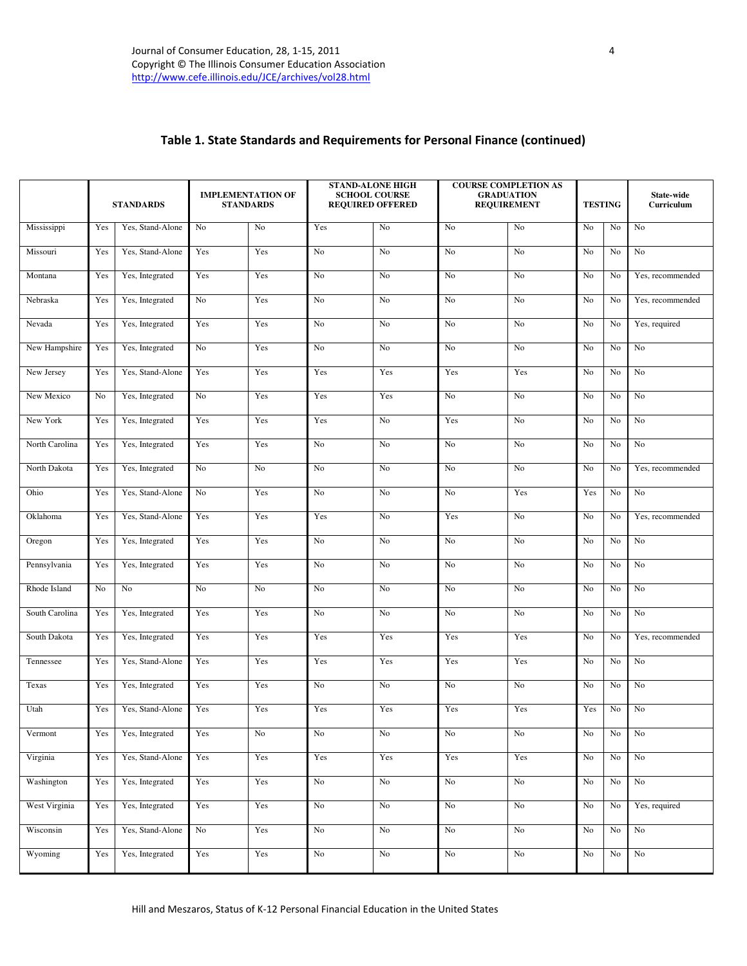# Table 1. State Standards and Requirements for Personal Finance (continued)

|                | <b>STANDARDS</b> |                  | <b>STAND-ALONE HIGH</b><br><b>IMPLEMENTATION OF</b><br><b>SCHOOL COURSE</b><br><b>REQUIRED OFFERED</b><br><b>STANDARDS</b> |          |                | <b>COURSE COMPLETION AS</b><br><b>GRADUATION</b><br><b>REQUIREMENT</b> |                | <b>TESTING</b>  |                | State-wide<br>Curriculum |                  |
|----------------|------------------|------------------|----------------------------------------------------------------------------------------------------------------------------|----------|----------------|------------------------------------------------------------------------|----------------|-----------------|----------------|--------------------------|------------------|
| Mississippi    | Yes              | Yes, Stand-Alone | No                                                                                                                         | No       | Yes            | No                                                                     | No             | No              | No             | No                       | No               |
| Missouri       | Yes              | Yes, Stand-Alone | Yes                                                                                                                        | Yes      | No             | No                                                                     | No             | No              | No             | No                       | No               |
| Montana        | Yes              | Yes, Integrated  | Yes                                                                                                                        | Yes      | No             | No                                                                     | No             | No              | No             | No                       | Yes, recommended |
| Nebraska       | Yes              | Yes, Integrated  | No                                                                                                                         | Yes      | No             | No                                                                     | N <sub>o</sub> | No              | No             | No                       | Yes, recommended |
| Nevada         | Yes              | Yes, Integrated  | Yes                                                                                                                        | Yes      | No             | No                                                                     | No             | No              | No             | No                       | Yes, required    |
| New Hampshire  | Yes              | Yes, Integrated  | N <sub>o</sub>                                                                                                             | Yes      | No             | N <sub>o</sub>                                                         | No             | No              | No             | No                       | No               |
| New Jersey     | Yes              | Yes, Stand-Alone | Yes                                                                                                                        | Yes      | Yes            | Yes                                                                    | Yes            | Yes             | No             | No                       | No               |
| New Mexico     | No               | Yes, Integrated  | No                                                                                                                         | Yes      | Yes            | Yes                                                                    | No             | No              | No             | No                       | No               |
| New York       | Yes              | Yes, Integrated  | Yes                                                                                                                        | Yes      | Yes            | No                                                                     | Yes            | No              | No             | No                       | No               |
| North Carolina | Yes              | Yes, Integrated  | Yes                                                                                                                        | Yes      | No             | No                                                                     | No             | No              | No             | No                       | No               |
| North Dakota   | Yes              | Yes, Integrated  | No                                                                                                                         | No       | No             | No                                                                     | No             | No              | No             | No                       | Yes, recommended |
| Ohio           | Yes              | Yes, Stand-Alone | No                                                                                                                         | Yes      | No             | No                                                                     | No             | Yes             | Yes            | No                       | No               |
| Oklahoma       | Yes              | Yes, Stand-Alone | Yes                                                                                                                        | Yes      | Yes            | No                                                                     | Yes            | No              | No             | No                       | Yes, recommended |
| Oregon         | Yes              | Yes, Integrated  | Yes                                                                                                                        | Yes      | No             | No                                                                     | No             | No              | No             | No                       | No               |
| Pennsylvania   | Yes              | Yes, Integrated  | Yes                                                                                                                        | Yes      | No             | No                                                                     | No             | No              | No             | No                       | No               |
| Rhode Island   | No               | No               | No                                                                                                                         | No       | No             | No                                                                     | No             | No              | No             | No                       | No               |
| South Carolina | Yes              | Yes, Integrated  | Yes                                                                                                                        | Yes      | No             | No                                                                     | No             | No              | No             | No                       | No               |
| South Dakota   | Yes              | Yes, Integrated  | Yes                                                                                                                        | Yes      | Yes            | Yes                                                                    | Yes            | Yes             | N <sub>0</sub> | No                       | Yes, recommended |
| Tennessee      | Yes              | Yes, Stand-Alone | Yes                                                                                                                        | Yes      | Yes            | Yes                                                                    | Yes            | Yes             | No             | No                       | No               |
| Texas          | Yes              | Yes, Integrated  | Yes                                                                                                                        | Yes      | No             | No                                                                     | No             | No              | No             | No                       | $\rm No$         |
| Utah           | Yes              | Yes, Stand-Alone | Yes                                                                                                                        | Yes      | Yes            | Yes                                                                    | Yes            | Yes             | Yes            | No                       | No               |
| Vermont        | Yes              | Yes, Integrated  | Yes                                                                                                                        | $\rm No$ | No             | $\rm No$                                                               | $\rm No$       | $\rm No$        | No             | No                       | $\rm No$         |
| Virginia       | Yes              | Yes, Stand-Alone | Yes                                                                                                                        | Yes      | Yes            | Yes                                                                    | Yes            | Yes             | No             | No                       | N <sub>o</sub>   |
| Washington     | Yes              | Yes, Integrated  | Yes                                                                                                                        | Yes      | $\rm No$       | N <sub>o</sub>                                                         | $\rm No$       | No              | No             | $\rm No$                 | No               |
| West Virginia  | Yes              | Yes, Integrated  | Yes                                                                                                                        | Yes      | $\rm No$       | $\rm No$                                                               | $\rm No$       | $\rm No$        | No             | No                       | Yes, required    |
| Wisconsin      | Yes              | Yes, Stand-Alone | No                                                                                                                         | Yes      | N <sub>o</sub> | $\rm No$                                                               | $\rm No$       | $\overline{No}$ | No             | No                       | N <sub>o</sub>   |
| Wyoming        | Yes              | Yes, Integrated  | Yes                                                                                                                        | Yes      | $\rm No$       | $\rm No$                                                               | $\rm No$       | $\rm No$        | No             | No                       | $\rm No$         |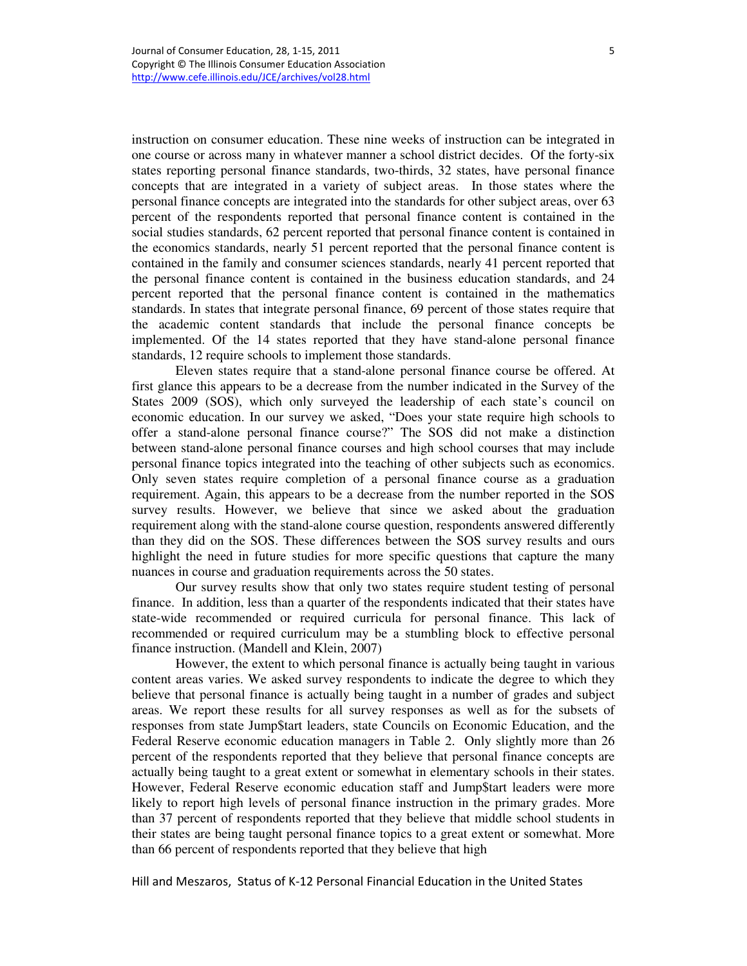instruction on consumer education. These nine weeks of instruction can be integrated in one course or across many in whatever manner a school district decides. Of the forty-six states reporting personal finance standards, two-thirds, 32 states, have personal finance concepts that are integrated in a variety of subject areas. In those states where the personal finance concepts are integrated into the standards for other subject areas, over 63 percent of the respondents reported that personal finance content is contained in the social studies standards, 62 percent reported that personal finance content is contained in the economics standards, nearly 51 percent reported that the personal finance content is contained in the family and consumer sciences standards, nearly 41 percent reported that the personal finance content is contained in the business education standards, and 24 percent reported that the personal finance content is contained in the mathematics standards. In states that integrate personal finance, 69 percent of those states require that the academic content standards that include the personal finance concepts be implemented. Of the 14 states reported that they have stand-alone personal finance standards, 12 require schools to implement those standards.

Eleven states require that a stand-alone personal finance course be offered. At first glance this appears to be a decrease from the number indicated in the Survey of the States 2009 (SOS), which only surveyed the leadership of each state's council on economic education. In our survey we asked, "Does your state require high schools to offer a stand-alone personal finance course?" The SOS did not make a distinction between stand-alone personal finance courses and high school courses that may include personal finance topics integrated into the teaching of other subjects such as economics. Only seven states require completion of a personal finance course as a graduation requirement. Again, this appears to be a decrease from the number reported in the SOS survey results. However, we believe that since we asked about the graduation requirement along with the stand-alone course question, respondents answered differently than they did on the SOS. These differences between the SOS survey results and ours highlight the need in future studies for more specific questions that capture the many nuances in course and graduation requirements across the 50 states.

Our survey results show that only two states require student testing of personal finance. In addition, less than a quarter of the respondents indicated that their states have state-wide recommended or required curricula for personal finance. This lack of recommended or required curriculum may be a stumbling block to effective personal finance instruction. (Mandell and Klein, 2007)

However, the extent to which personal finance is actually being taught in various content areas varies. We asked survey respondents to indicate the degree to which they believe that personal finance is actually being taught in a number of grades and subject areas. We report these results for all survey responses as well as for the subsets of responses from state Jump\$tart leaders, state Councils on Economic Education, and the Federal Reserve economic education managers in Table 2. Only slightly more than 26 percent of the respondents reported that they believe that personal finance concepts are actually being taught to a great extent or somewhat in elementary schools in their states. However, Federal Reserve economic education staff and Jump\$tart leaders were more likely to report high levels of personal finance instruction in the primary grades. More than 37 percent of respondents reported that they believe that middle school students in their states are being taught personal finance topics to a great extent or somewhat. More than 66 percent of respondents reported that they believe that high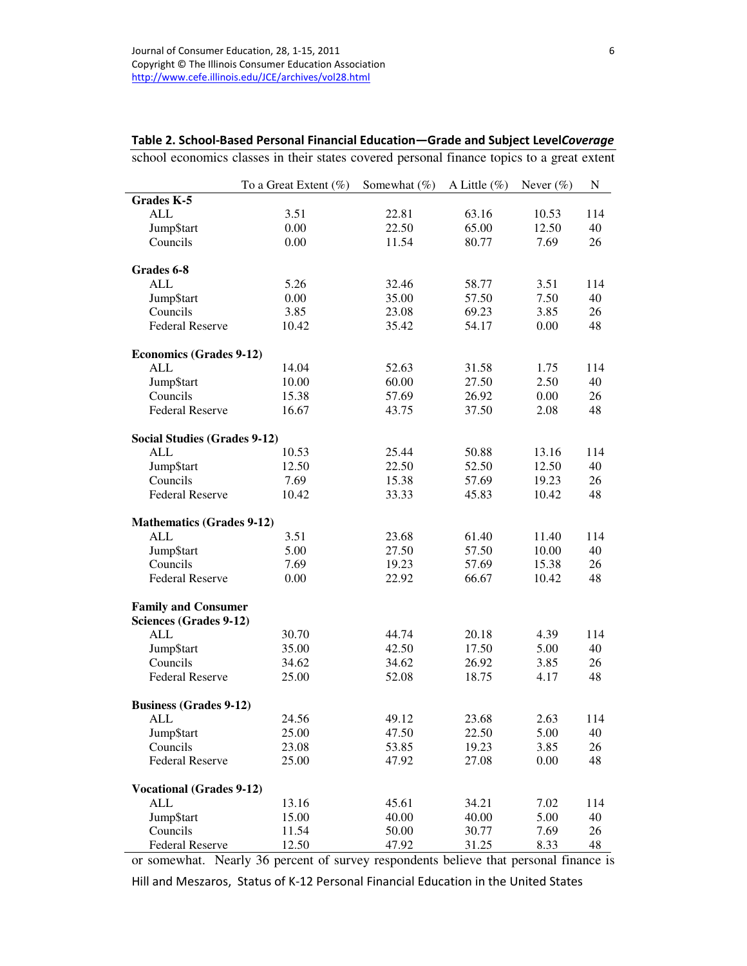|                                      | To a Great Extent $(\%)$ | Somewhat (%) | A Little $(\% )$ | Never $(\% )$ | ${\bf N}$ |
|--------------------------------------|--------------------------|--------------|------------------|---------------|-----------|
| Grades K-5                           |                          |              |                  |               |           |
| <b>ALL</b>                           | 3.51                     | 22.81        | 63.16            | 10.53         | 114       |
| Jump\$tart                           | 0.00                     | 22.50        | 65.00            | 12.50         | 40        |
| Councils                             | 0.00                     | 11.54        | 80.77            | 7.69          | 26        |
| Grades 6-8                           |                          |              |                  |               |           |
| <b>ALL</b>                           | 5.26                     | 32.46        | 58.77            | 3.51          | 114       |
| Jump\$tart                           | 0.00                     | 35.00        | 57.50            | 7.50          | 40        |
| Councils                             | 3.85                     | 23.08        | 69.23            | 3.85          | 26        |
| <b>Federal Reserve</b>               | 10.42                    | 35.42        | 54.17            | 0.00          | 48        |
|                                      |                          |              |                  |               |           |
| <b>Economics (Grades 9-12)</b>       |                          |              |                  |               |           |
| ALL                                  | 14.04                    | 52.63        | 31.58            | 1.75          | 114       |
| Jump\$tart                           | 10.00                    | 60.00        | 27.50            | 2.50          | 40        |
| Councils                             | 15.38                    | 57.69        | 26.92            | 0.00          | 26        |
| <b>Federal Reserve</b>               | 16.67                    | 43.75        | 37.50            | 2.08          | 48        |
| <b>Social Studies (Grades 9-12)</b>  |                          |              |                  |               |           |
| ALL                                  | 10.53                    | 25.44        | 50.88            | 13.16         | 114       |
| Jump\$tart                           | 12.50                    | 22.50        | 52.50            | 12.50         | 40        |
| Councils                             | 7.69                     | 15.38        | 57.69            | 19.23         | 26        |
| <b>Federal Reserve</b>               | 10.42                    | 33.33        | 45.83            | 10.42         | 48        |
| <b>Mathematics (Grades 9-12)</b>     |                          |              |                  |               |           |
| <b>ALL</b>                           | 3.51                     | 23.68        | 61.40            | 11.40         | 114       |
| Jump\$tart                           | 5.00                     | 27.50        | 57.50            | 10.00         | 40        |
| Councils                             | 7.69                     | 19.23        | 57.69            | 15.38         | 26        |
| <b>Federal Reserve</b>               | 0.00                     | 22.92        | 66.67            | 10.42         | 48        |
|                                      |                          |              |                  |               |           |
| <b>Family and Consumer</b>           |                          |              |                  |               |           |
| Sciences (Grades 9-12)<br><b>ALL</b> | 30.70                    | 44.74        | 20.18            | 4.39          | 114       |
| Jump\$tart                           | 35.00                    | 42.50        | 17.50            | 5.00          | 40        |
| Councils                             | 34.62                    | 34.62        | 26.92            | 3.85          | 26        |
| <b>Federal Reserve</b>               | 25.00                    | 52.08        | 18.75            | 4.17          | 48        |
|                                      |                          |              |                  |               |           |
| <b>Business (Grades 9-12)</b>        |                          |              |                  |               |           |
| ALL                                  | 24.56                    | 49.12        | 23.68            | 2.63          | 114       |
| Jump\$tart                           | 25.00                    | 47.50        | 22.50            | 5.00          | 40        |
| Councils                             | 23.08                    | 53.85        | 19.23            | 3.85          | 26        |
| <b>Federal Reserve</b>               | 25.00                    | 47.92        | 27.08            | 0.00          | 48        |
| <b>Vocational (Grades 9-12)</b>      |                          |              |                  |               |           |
| <b>ALL</b>                           | 13.16                    | 45.61        | 34.21            | 7.02          | 114       |
| Jump\$tart                           | 15.00                    | 40.00        | 40.00            | 5.00          | 40        |
| Councils                             | 11.54                    | 50.00        | 30.77            | 7.69          | 26        |
| <b>Federal Reserve</b>               | 12.50                    | 47.92        | 31.25            | 8.33          | 48        |

school economics classes in their states covered personal finance topics to a great extent

or somewhat. Nearly 36 percent of survey respondents believe that personal finance is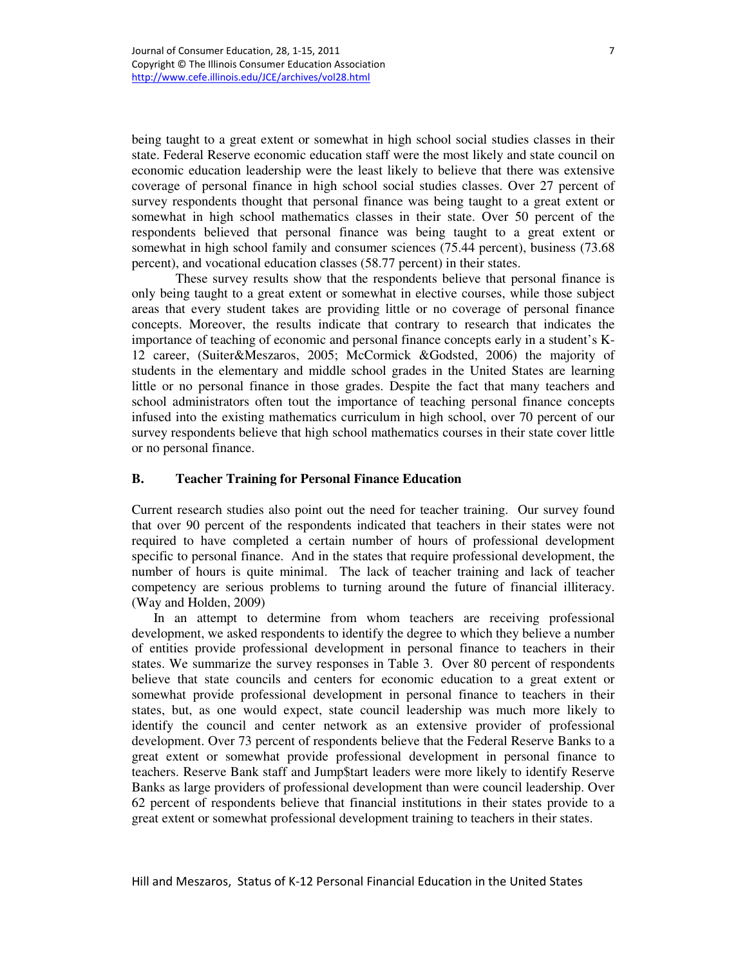being taught to a great extent or somewhat in high school social studies classes in their state. Federal Reserve economic education staff were the most likely and state council on economic education leadership were the least likely to believe that there was extensive coverage of personal finance in high school social studies classes. Over 27 percent of survey respondents thought that personal finance was being taught to a great extent or somewhat in high school mathematics classes in their state. Over 50 percent of the respondents believed that personal finance was being taught to a great extent or somewhat in high school family and consumer sciences (75.44 percent), business (73.68 percent), and vocational education classes (58.77 percent) in their states.

 These survey results show that the respondents believe that personal finance is only being taught to a great extent or somewhat in elective courses, while those subject areas that every student takes are providing little or no coverage of personal finance concepts. Moreover, the results indicate that contrary to research that indicates the importance of teaching of economic and personal finance concepts early in a student's K-12 career, (Suiter&Meszaros, 2005; McCormick &Godsted, 2006) the majority of students in the elementary and middle school grades in the United States are learning little or no personal finance in those grades. Despite the fact that many teachers and school administrators often tout the importance of teaching personal finance concepts infused into the existing mathematics curriculum in high school, over 70 percent of our survey respondents believe that high school mathematics courses in their state cover little or no personal finance.

### **B. Teacher Training for Personal Finance Education**

Current research studies also point out the need for teacher training. Our survey found that over 90 percent of the respondents indicated that teachers in their states were not required to have completed a certain number of hours of professional development specific to personal finance. And in the states that require professional development, the number of hours is quite minimal. The lack of teacher training and lack of teacher competency are serious problems to turning around the future of financial illiteracy. (Way and Holden, 2009)

In an attempt to determine from whom teachers are receiving professional development, we asked respondents to identify the degree to which they believe a number of entities provide professional development in personal finance to teachers in their states. We summarize the survey responses in Table 3. Over 80 percent of respondents believe that state councils and centers for economic education to a great extent or somewhat provide professional development in personal finance to teachers in their states, but, as one would expect, state council leadership was much more likely to identify the council and center network as an extensive provider of professional development. Over 73 percent of respondents believe that the Federal Reserve Banks to a great extent or somewhat provide professional development in personal finance to teachers. Reserve Bank staff and Jump\$tart leaders were more likely to identify Reserve Banks as large providers of professional development than were council leadership. Over 62 percent of respondents believe that financial institutions in their states provide to a great extent or somewhat professional development training to teachers in their states.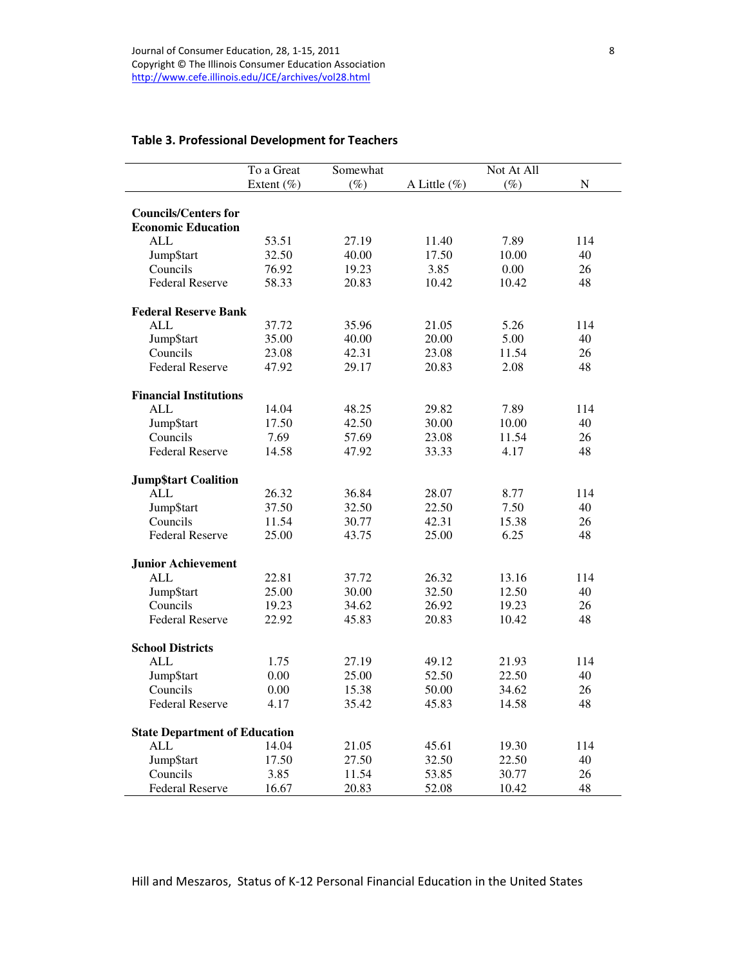# Table 3. Professional Development for Teachers

|                                      | To a Great | Somewhat |              | Not At All |           |
|--------------------------------------|------------|----------|--------------|------------|-----------|
|                                      | Extent (%) | $(\%)$   | A Little (%) | $(\%)$     | ${\bf N}$ |
|                                      |            |          |              |            |           |
| <b>Councils/Centers for</b>          |            |          |              |            |           |
| <b>Economic Education</b>            |            |          |              |            |           |
| <b>ALL</b>                           | 53.51      | 27.19    | 11.40        | 7.89       | 114       |
| Jump\$tart                           | 32.50      | 40.00    | 17.50        | 10.00      | 40        |
| Councils                             | 76.92      | 19.23    | 3.85         | 0.00       | 26        |
| <b>Federal Reserve</b>               | 58.33      | 20.83    | 10.42        | 10.42      | 48        |
| <b>Federal Reserve Bank</b>          |            |          |              |            |           |
| <b>ALL</b>                           | 37.72      | 35.96    | 21.05        | 5.26       | 114       |
| Jump\$tart                           | 35.00      | 40.00    | 20.00        | 5.00       | 40        |
| Councils                             | 23.08      | 42.31    | 23.08        | 11.54      | 26        |
| <b>Federal Reserve</b>               | 47.92      | 29.17    | 20.83        | 2.08       | 48        |
| <b>Financial Institutions</b>        |            |          |              |            |           |
| <b>ALL</b>                           | 14.04      | 48.25    | 29.82        | 7.89       | 114       |
| Jump\$tart                           | 17.50      | 42.50    | 30.00        | 10.00      | 40        |
| Councils                             | 7.69       | 57.69    | 23.08        | 11.54      | 26        |
| <b>Federal Reserve</b>               | 14.58      | 47.92    | 33.33        | 4.17       | 48        |
| <b>Jump\$tart Coalition</b>          |            |          |              |            |           |
| <b>ALL</b>                           | 26.32      | 36.84    | 28.07        | 8.77       | 114       |
| Jump\$tart                           | 37.50      | 32.50    | 22.50        | 7.50       | 40        |
| Councils                             | 11.54      | 30.77    | 42.31        | 15.38      | 26        |
| <b>Federal Reserve</b>               | 25.00      | 43.75    | 25.00        | 6.25       | 48        |
| <b>Junior Achievement</b>            |            |          |              |            |           |
| <b>ALL</b>                           | 22.81      | 37.72    | 26.32        | 13.16      | 114       |
| Jump\$tart                           | 25.00      | 30.00    | 32.50        | 12.50      | 40        |
| Councils                             | 19.23      | 34.62    | 26.92        | 19.23      | 26        |
| <b>Federal Reserve</b>               | 22.92      | 45.83    | 20.83        | 10.42      | 48        |
| <b>School Districts</b>              |            |          |              |            |           |
| <b>ALL</b>                           | 1.75       | 27.19    | 49.12        | 21.93      | 114       |
| Jump\$tart                           | 0.00       | 25.00    | 52.50        | 22.50      | 40        |
| Councils                             | 0.00       | 15.38    | 50.00        | 34.62      | 26        |
| <b>Federal Reserve</b>               | 4.17       | 35.42    | 45.83        | 14.58      | 48        |
| <b>State Department of Education</b> |            |          |              |            |           |
| <b>ALL</b>                           | 14.04      | 21.05    | 45.61        | 19.30      | 114       |
| Jump\$tart                           | 17.50      | 27.50    | 32.50        | 22.50      | 40        |
| Councils                             | 3.85       | 11.54    | 53.85        | 30.77      | 26        |
| <b>Federal Reserve</b>               | 16.67      | 20.83    | 52.08        | 10.42      | 48        |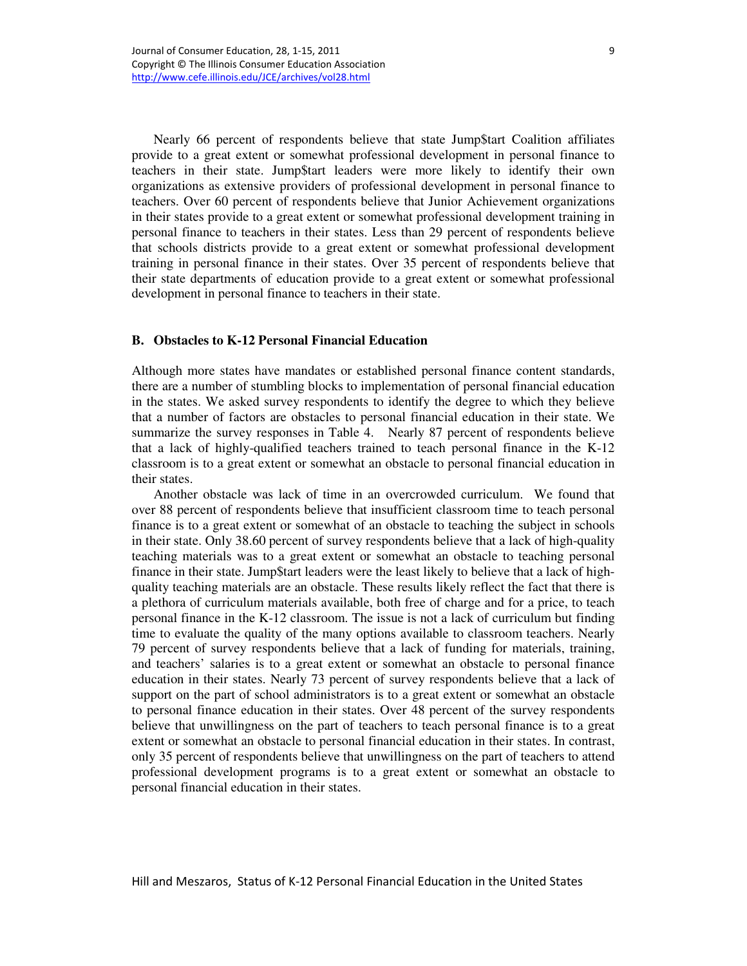Nearly 66 percent of respondents believe that state Jump\$tart Coalition affiliates provide to a great extent or somewhat professional development in personal finance to teachers in their state. Jump\$tart leaders were more likely to identify their own organizations as extensive providers of professional development in personal finance to teachers. Over 60 percent of respondents believe that Junior Achievement organizations in their states provide to a great extent or somewhat professional development training in personal finance to teachers in their states. Less than 29 percent of respondents believe that schools districts provide to a great extent or somewhat professional development training in personal finance in their states. Over 35 percent of respondents believe that their state departments of education provide to a great extent or somewhat professional development in personal finance to teachers in their state.

#### **B. Obstacles to K-12 Personal Financial Education**

Although more states have mandates or established personal finance content standards, there are a number of stumbling blocks to implementation of personal financial education in the states. We asked survey respondents to identify the degree to which they believe that a number of factors are obstacles to personal financial education in their state. We summarize the survey responses in Table 4. Nearly 87 percent of respondents believe that a lack of highly-qualified teachers trained to teach personal finance in the K-12 classroom is to a great extent or somewhat an obstacle to personal financial education in their states.

Another obstacle was lack of time in an overcrowded curriculum. We found that over 88 percent of respondents believe that insufficient classroom time to teach personal finance is to a great extent or somewhat of an obstacle to teaching the subject in schools in their state. Only 38.60 percent of survey respondents believe that a lack of high-quality teaching materials was to a great extent or somewhat an obstacle to teaching personal finance in their state. Jump\$tart leaders were the least likely to believe that a lack of highquality teaching materials are an obstacle. These results likely reflect the fact that there is a plethora of curriculum materials available, both free of charge and for a price, to teach personal finance in the K-12 classroom. The issue is not a lack of curriculum but finding time to evaluate the quality of the many options available to classroom teachers. Nearly 79 percent of survey respondents believe that a lack of funding for materials, training, and teachers' salaries is to a great extent or somewhat an obstacle to personal finance education in their states. Nearly 73 percent of survey respondents believe that a lack of support on the part of school administrators is to a great extent or somewhat an obstacle to personal finance education in their states. Over 48 percent of the survey respondents believe that unwillingness on the part of teachers to teach personal finance is to a great extent or somewhat an obstacle to personal financial education in their states. In contrast, only 35 percent of respondents believe that unwillingness on the part of teachers to attend professional development programs is to a great extent or somewhat an obstacle to personal financial education in their states.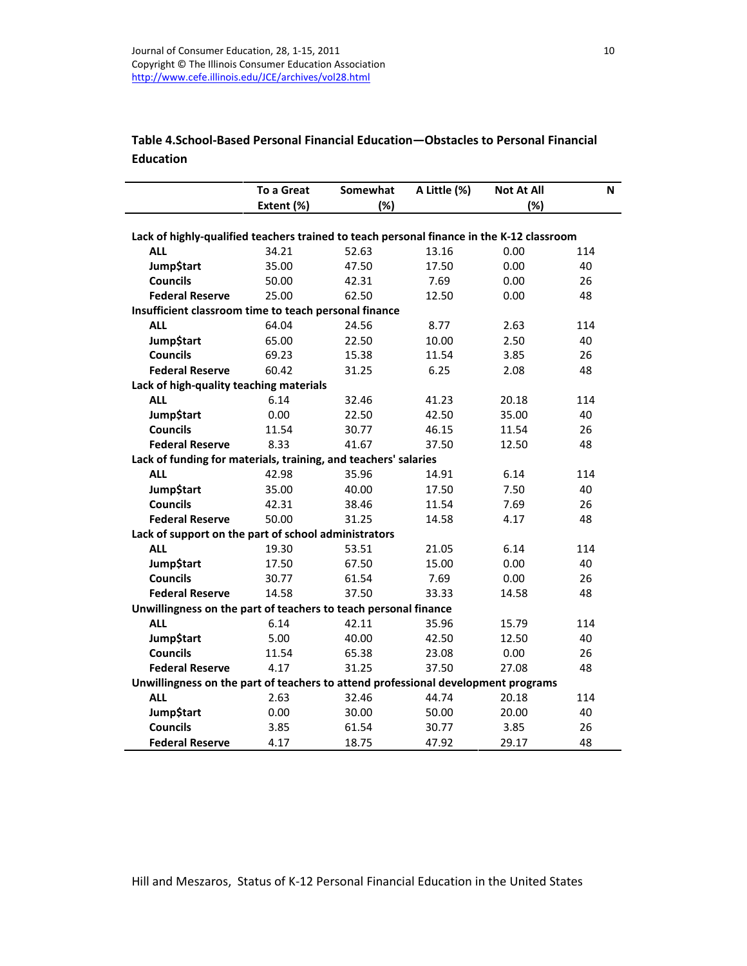# Table 4.School-Based Personal Financial Education—Obstacles to Personal Financial Education

|                                                                                           | <b>To a Great</b> | Somewhat | A Little (%) | <b>Not At All</b> | N   |
|-------------------------------------------------------------------------------------------|-------------------|----------|--------------|-------------------|-----|
|                                                                                           | Extent (%)        | (%)      |              | (%)               |     |
|                                                                                           |                   |          |              |                   |     |
| Lack of highly-qualified teachers trained to teach personal finance in the K-12 classroom |                   |          |              |                   |     |
| <b>ALL</b>                                                                                | 34.21             | 52.63    | 13.16        | 0.00              | 114 |
| <b>Jump</b> \$tart                                                                        | 35.00             | 47.50    | 17.50        | 0.00              | 40  |
| <b>Councils</b>                                                                           | 50.00             | 42.31    | 7.69         | 0.00              | 26  |
| <b>Federal Reserve</b>                                                                    | 25.00             | 62.50    | 12.50        | 0.00              | 48  |
| Insufficient classroom time to teach personal finance                                     |                   |          |              |                   |     |
| <b>ALL</b>                                                                                | 64.04             | 24.56    | 8.77         | 2.63              | 114 |
| Jump\$tart                                                                                | 65.00             | 22.50    | 10.00        | 2.50              | 40  |
| <b>Councils</b>                                                                           | 69.23             | 15.38    | 11.54        | 3.85              | 26  |
| <b>Federal Reserve</b>                                                                    | 60.42             | 31.25    | 6.25         | 2.08              | 48  |
| Lack of high-quality teaching materials                                                   |                   |          |              |                   |     |
| <b>ALL</b>                                                                                | 6.14              | 32.46    | 41.23        | 20.18             | 114 |
| Jump\$tart                                                                                | 0.00              | 22.50    | 42.50        | 35.00             | 40  |
| <b>Councils</b>                                                                           | 11.54             | 30.77    | 46.15        | 11.54             | 26  |
| <b>Federal Reserve</b>                                                                    | 8.33              | 41.67    | 37.50        | 12.50             | 48  |
| Lack of funding for materials, training, and teachers' salaries                           |                   |          |              |                   |     |
| <b>ALL</b>                                                                                | 42.98             | 35.96    | 14.91        | 6.14              | 114 |
| <b>Jump</b> \$tart                                                                        | 35.00             | 40.00    | 17.50        | 7.50              | 40  |
| <b>Councils</b>                                                                           | 42.31             | 38.46    | 11.54        | 7.69              | 26  |
| <b>Federal Reserve</b>                                                                    | 50.00             | 31.25    | 14.58        | 4.17              | 48  |
| Lack of support on the part of school administrators                                      |                   |          |              |                   |     |
| <b>ALL</b>                                                                                | 19.30             | 53.51    | 21.05        | 6.14              | 114 |
| <b>Jump</b> \$tart                                                                        | 17.50             | 67.50    | 15.00        | 0.00              | 40  |
| <b>Councils</b>                                                                           | 30.77             | 61.54    | 7.69         | 0.00              | 26  |
| <b>Federal Reserve</b>                                                                    | 14.58             | 37.50    | 33.33        | 14.58             | 48  |
| Unwillingness on the part of teachers to teach personal finance                           |                   |          |              |                   |     |
| <b>ALL</b>                                                                                | 6.14              | 42.11    | 35.96        | 15.79             | 114 |
| <b>Jump</b> \$tart                                                                        | 5.00              | 40.00    | 42.50        | 12.50             | 40  |
| <b>Councils</b>                                                                           | 11.54             | 65.38    | 23.08        | 0.00              | 26  |
| <b>Federal Reserve</b>                                                                    | 4.17              | 31.25    | 37.50        | 27.08             | 48  |
| Unwillingness on the part of teachers to attend professional development programs         |                   |          |              |                   |     |
| <b>ALL</b>                                                                                | 2.63              | 32.46    | 44.74        | 20.18             | 114 |
| <b>Jump</b> \$tart                                                                        | 0.00              | 30.00    | 50.00        | 20.00             | 40  |
| <b>Councils</b>                                                                           | 3.85              | 61.54    | 30.77        | 3.85              | 26  |
| <b>Federal Reserve</b>                                                                    | 4.17              | 18.75    | 47.92        | 29.17             | 48  |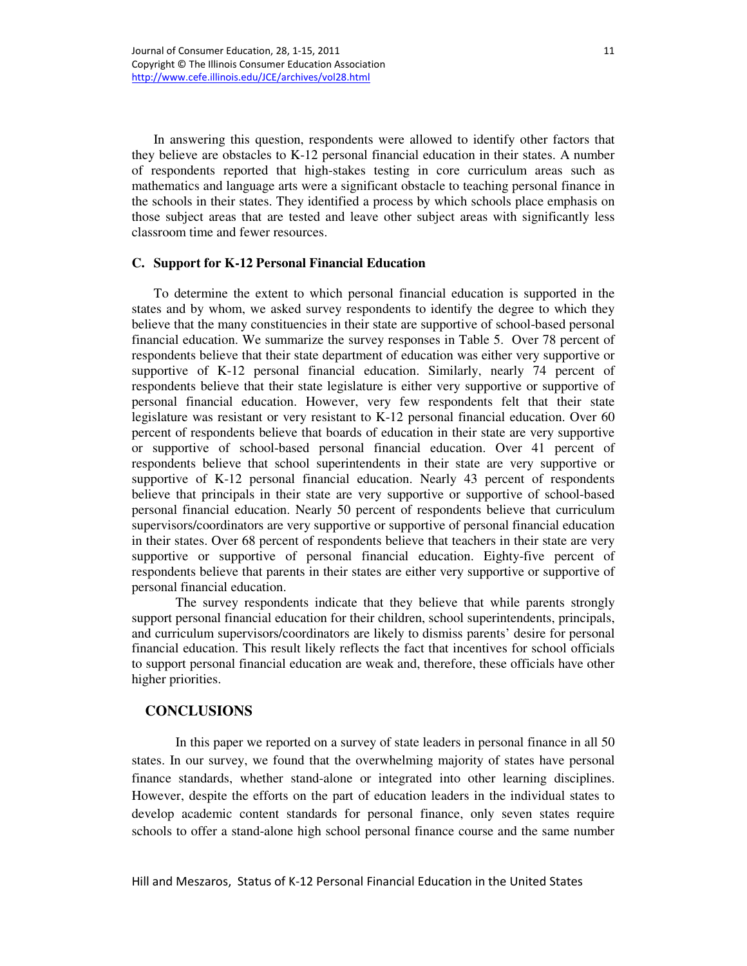In answering this question, respondents were allowed to identify other factors that they believe are obstacles to K-12 personal financial education in their states. A number of respondents reported that high-stakes testing in core curriculum areas such as mathematics and language arts were a significant obstacle to teaching personal finance in the schools in their states. They identified a process by which schools place emphasis on those subject areas that are tested and leave other subject areas with significantly less classroom time and fewer resources.

#### **C. Support for K-12 Personal Financial Education**

To determine the extent to which personal financial education is supported in the states and by whom, we asked survey respondents to identify the degree to which they believe that the many constituencies in their state are supportive of school-based personal financial education. We summarize the survey responses in Table 5. Over 78 percent of respondents believe that their state department of education was either very supportive or supportive of K-12 personal financial education. Similarly, nearly 74 percent of respondents believe that their state legislature is either very supportive or supportive of personal financial education. However, very few respondents felt that their state legislature was resistant or very resistant to K-12 personal financial education. Over 60 percent of respondents believe that boards of education in their state are very supportive or supportive of school-based personal financial education. Over 41 percent of respondents believe that school superintendents in their state are very supportive or supportive of K-12 personal financial education. Nearly 43 percent of respondents believe that principals in their state are very supportive or supportive of school-based personal financial education. Nearly 50 percent of respondents believe that curriculum supervisors/coordinators are very supportive or supportive of personal financial education in their states. Over 68 percent of respondents believe that teachers in their state are very supportive or supportive of personal financial education. Eighty-five percent of respondents believe that parents in their states are either very supportive or supportive of personal financial education.

The survey respondents indicate that they believe that while parents strongly support personal financial education for their children, school superintendents, principals, and curriculum supervisors/coordinators are likely to dismiss parents' desire for personal financial education. This result likely reflects the fact that incentives for school officials to support personal financial education are weak and, therefore, these officials have other higher priorities.

## **CONCLUSIONS**

In this paper we reported on a survey of state leaders in personal finance in all 50 states. In our survey, we found that the overwhelming majority of states have personal finance standards, whether stand-alone or integrated into other learning disciplines. However, despite the efforts on the part of education leaders in the individual states to develop academic content standards for personal finance, only seven states require schools to offer a stand-alone high school personal finance course and the same number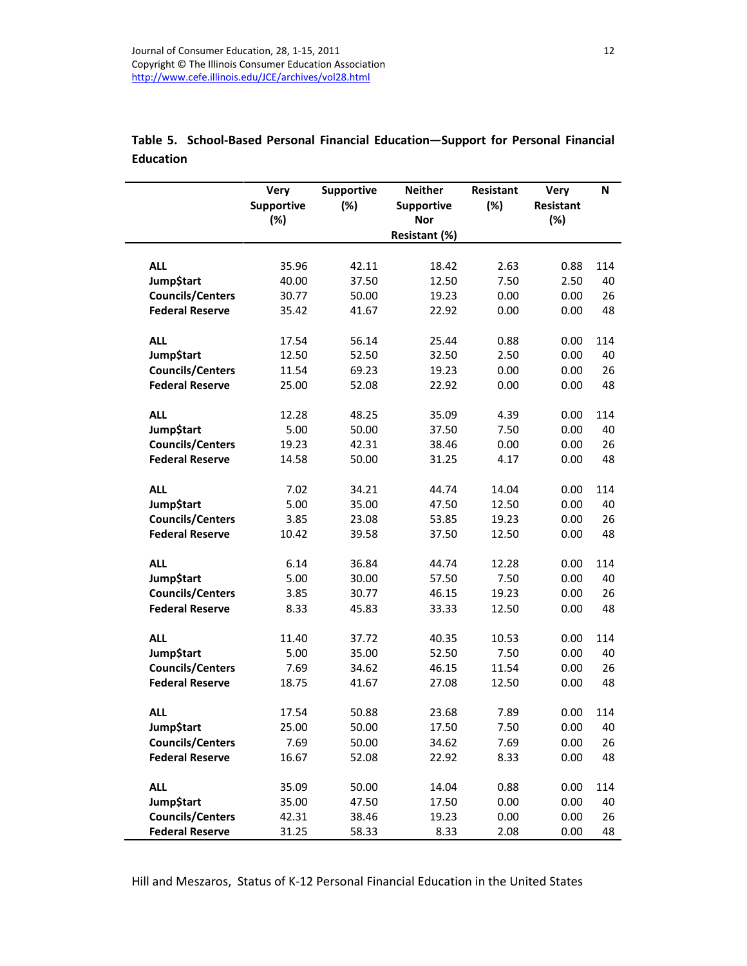|                         | <b>Very</b><br><b>Supportive</b> | Supportive<br>(%) | <b>Neither</b><br>Supportive | Resistant<br>(%) | <b>Very</b><br>Resistant | N   |
|-------------------------|----------------------------------|-------------------|------------------------------|------------------|--------------------------|-----|
|                         | $(\%)$                           |                   | Nor<br>Resistant (%)         |                  | (%)                      |     |
|                         |                                  |                   |                              |                  |                          |     |
| <b>ALL</b>              | 35.96                            | 42.11             | 18.42                        | 2.63             | 0.88                     | 114 |
| Jump\$tart              | 40.00                            | 37.50             | 12.50                        | 7.50             | 2.50                     | 40  |
| <b>Councils/Centers</b> | 30.77                            | 50.00             | 19.23                        | 0.00             | 0.00                     | 26  |
| <b>Federal Reserve</b>  | 35.42                            | 41.67             | 22.92                        | 0.00             | 0.00                     | 48  |
|                         |                                  |                   |                              |                  |                          |     |
| <b>ALL</b>              | 17.54                            | 56.14             | 25.44                        | 0.88             | 0.00                     | 114 |
| <b>Jump</b> \$tart      | 12.50                            | 52.50             | 32.50                        | 2.50             | 0.00                     | 40  |
| <b>Councils/Centers</b> | 11.54                            | 69.23             | 19.23                        | 0.00             | 0.00                     | 26  |
| <b>Federal Reserve</b>  | 25.00                            | 52.08             | 22.92                        | 0.00             | 0.00                     | 48  |
| <b>ALL</b>              | 12.28                            | 48.25             | 35.09                        | 4.39             | 0.00                     | 114 |
| Jump\$tart              | 5.00                             | 50.00             | 37.50                        | 7.50             | 0.00                     | 40  |
| <b>Councils/Centers</b> | 19.23                            | 42.31             | 38.46                        | 0.00             | 0.00                     | 26  |
| <b>Federal Reserve</b>  | 14.58                            | 50.00             | 31.25                        | 4.17             | 0.00                     | 48  |
|                         |                                  |                   |                              |                  |                          |     |
| <b>ALL</b>              | 7.02                             | 34.21             | 44.74                        | 14.04            | 0.00                     | 114 |
| <b>Jump</b> \$tart      | 5.00                             | 35.00             | 47.50                        | 12.50            | 0.00                     | 40  |
| <b>Councils/Centers</b> | 3.85                             | 23.08             | 53.85                        | 19.23            | 0.00                     | 26  |
| <b>Federal Reserve</b>  | 10.42                            | 39.58             | 37.50                        | 12.50            | 0.00                     | 48  |
| <b>ALL</b>              | 6.14                             | 36.84             | 44.74                        | 12.28            | 0.00                     | 114 |
| <b>Jump\$tart</b>       | 5.00                             | 30.00             | 57.50                        | 7.50             | 0.00                     | 40  |
| <b>Councils/Centers</b> | 3.85                             | 30.77             | 46.15                        | 19.23            | 0.00                     | 26  |
| <b>Federal Reserve</b>  | 8.33                             | 45.83             | 33.33                        | 12.50            | 0.00                     | 48  |
|                         |                                  |                   |                              |                  |                          |     |
| <b>ALL</b>              | 11.40                            | 37.72             | 40.35                        | 10.53            | 0.00                     | 114 |
| <b>Jump\$tart</b>       | 5.00                             | 35.00             | 52.50                        | 7.50             | 0.00                     | 40  |
| <b>Councils/Centers</b> | 7.69                             | 34.62             | 46.15                        | 11.54            | 0.00                     | 26  |
| <b>Federal Reserve</b>  | 18.75                            | 41.67             | 27.08                        | 12.50            | 0.00                     | 48  |
| <b>ALL</b>              | 17.54                            | 50.88             | 23.68                        | 7.89             | 0.00                     | 114 |
| Jump\$tart              | 25.00                            | 50.00             | 17.50                        | 7.50             | 0.00                     | 40  |
| <b>Councils/Centers</b> | 7.69                             | 50.00             | 34.62                        | 7.69             | 0.00                     | 26  |
| <b>Federal Reserve</b>  | 16.67                            | 52.08             | 22.92                        | 8.33             | 0.00                     | 48  |
|                         |                                  |                   |                              |                  |                          |     |
| <b>ALL</b>              | 35.09                            | 50.00             | 14.04                        | 0.88             | 0.00                     | 114 |
| Jump\$tart              | 35.00                            | 47.50             | 17.50                        | 0.00             | 0.00                     | 40  |
| <b>Councils/Centers</b> | 42.31                            | 38.46             | 19.23                        | 0.00             | 0.00                     | 26  |
| <b>Federal Reserve</b>  | 31.25                            | 58.33             | 8.33                         | 2.08             | 0.00                     | 48  |

Table 5. School-Based Personal Financial Education—Support for Personal Financial Education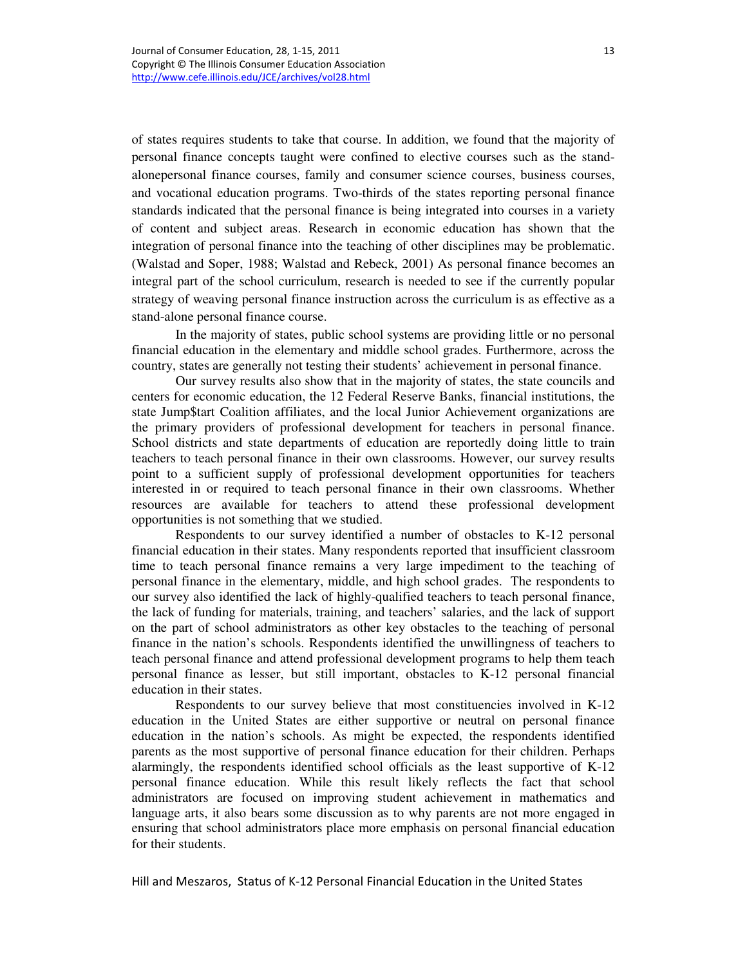of states requires students to take that course. In addition, we found that the majority of personal finance concepts taught were confined to elective courses such as the standalonepersonal finance courses, family and consumer science courses, business courses, and vocational education programs. Two-thirds of the states reporting personal finance standards indicated that the personal finance is being integrated into courses in a variety of content and subject areas. Research in economic education has shown that the integration of personal finance into the teaching of other disciplines may be problematic. (Walstad and Soper, 1988; Walstad and Rebeck, 2001) As personal finance becomes an integral part of the school curriculum, research is needed to see if the currently popular strategy of weaving personal finance instruction across the curriculum is as effective as a stand-alone personal finance course.

In the majority of states, public school systems are providing little or no personal financial education in the elementary and middle school grades. Furthermore, across the country, states are generally not testing their students' achievement in personal finance.

Our survey results also show that in the majority of states, the state councils and centers for economic education, the 12 Federal Reserve Banks, financial institutions, the state Jump\$tart Coalition affiliates, and the local Junior Achievement organizations are the primary providers of professional development for teachers in personal finance. School districts and state departments of education are reportedly doing little to train teachers to teach personal finance in their own classrooms. However, our survey results point to a sufficient supply of professional development opportunities for teachers interested in or required to teach personal finance in their own classrooms. Whether resources are available for teachers to attend these professional development opportunities is not something that we studied.

Respondents to our survey identified a number of obstacles to K-12 personal financial education in their states. Many respondents reported that insufficient classroom time to teach personal finance remains a very large impediment to the teaching of personal finance in the elementary, middle, and high school grades. The respondents to our survey also identified the lack of highly-qualified teachers to teach personal finance, the lack of funding for materials, training, and teachers' salaries, and the lack of support on the part of school administrators as other key obstacles to the teaching of personal finance in the nation's schools. Respondents identified the unwillingness of teachers to teach personal finance and attend professional development programs to help them teach personal finance as lesser, but still important, obstacles to K-12 personal financial education in their states.

Respondents to our survey believe that most constituencies involved in K-12 education in the United States are either supportive or neutral on personal finance education in the nation's schools. As might be expected, the respondents identified parents as the most supportive of personal finance education for their children. Perhaps alarmingly, the respondents identified school officials as the least supportive of K-12 personal finance education. While this result likely reflects the fact that school administrators are focused on improving student achievement in mathematics and language arts, it also bears some discussion as to why parents are not more engaged in ensuring that school administrators place more emphasis on personal financial education for their students.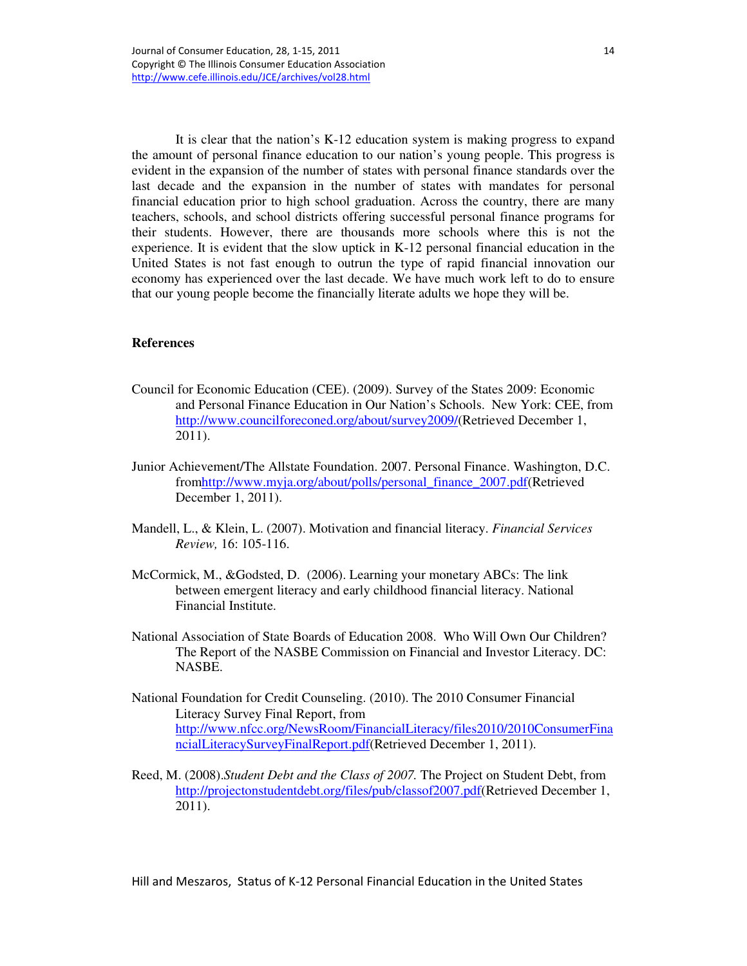It is clear that the nation's K-12 education system is making progress to expand the amount of personal finance education to our nation's young people. This progress is evident in the expansion of the number of states with personal finance standards over the last decade and the expansion in the number of states with mandates for personal financial education prior to high school graduation. Across the country, there are many teachers, schools, and school districts offering successful personal finance programs for their students. However, there are thousands more schools where this is not the experience. It is evident that the slow uptick in K-12 personal financial education in the United States is not fast enough to outrun the type of rapid financial innovation our economy has experienced over the last decade. We have much work left to do to ensure that our young people become the financially literate adults we hope they will be.

# **References**

- Council for Economic Education (CEE). (2009). Survey of the States 2009: Economic and Personal Finance Education in Our Nation's Schools. New York: CEE, from http://www.councilforeconed.org/about/survey2009/(Retrieved December 1, 2011).
- Junior Achievement/The Allstate Foundation. 2007. Personal Finance. Washington, D.C. fromhttp://www.myja.org/about/polls/personal\_finance\_2007.pdf(Retrieved December 1, 2011).
- Mandell, L., & Klein, L. (2007). Motivation and financial literacy. *Financial Services Review,* 16: 105-116.
- McCormick, M., &Godsted, D. (2006). Learning your monetary ABCs: The link between emergent literacy and early childhood financial literacy. National Financial Institute.
- National Association of State Boards of Education 2008. Who Will Own Our Children? The Report of the NASBE Commission on Financial and Investor Literacy. DC: NASBE.
- National Foundation for Credit Counseling. (2010). The 2010 Consumer Financial Literacy Survey Final Report, from http://www.nfcc.org/NewsRoom/FinancialLiteracy/files2010/2010ConsumerFina ncialLiteracySurveyFinalReport.pdf(Retrieved December 1, 2011).
- Reed, M. (2008).*Student Debt and the Class of 2007.* The Project on Student Debt, from http://projectonstudentdebt.org/files/pub/classof2007.pdf(Retrieved December 1, 2011).